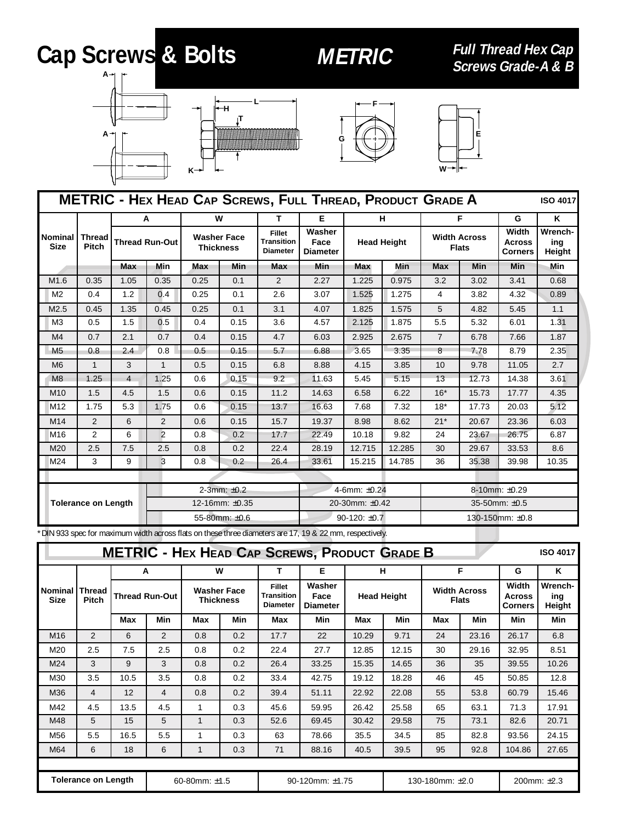## **Cap Screws & Bolts METRIC**

**Full Thread Hex Cap**







| <b>METRIC - HEX HEAD CAP SCREWS, FULL THREAD, PRODUCT GRADE A</b><br><b>ISO 4017</b> |                        |                |                                                                                                                                                                                                                            |            |               |                                          |                          |        |            |                 |       |            |       |
|--------------------------------------------------------------------------------------|------------------------|----------------|----------------------------------------------------------------------------------------------------------------------------------------------------------------------------------------------------------------------------|------------|---------------|------------------------------------------|--------------------------|--------|------------|-----------------|-------|------------|-------|
|                                                                                      |                        |                | A                                                                                                                                                                                                                          | W          |               | т                                        | E                        |        | н          |                 | F     | G          | ĸ     |
| Nominal<br><b>Size</b>                                                               | <b>Thread</b><br>Pitch |                | Washer<br><b>Fillet</b><br><b>Washer Face</b><br><b>Width Across</b><br><b>Thread Run-Out</b><br><b>Transition</b><br>Face<br><b>Head Height</b><br><b>Thickness</b><br><b>Flats</b><br><b>Diameter</b><br><b>Diameter</b> |            |               | Width<br><b>Across</b><br><b>Corners</b> | Wrench-<br>ing<br>Height |        |            |                 |       |            |       |
|                                                                                      |                        | <b>Max</b>     | Min                                                                                                                                                                                                                        | <b>Max</b> | Min           | <b>Max</b>                               | <b>Min</b>               | Max    | <b>Min</b> | <b>Max</b>      | Min   | <b>Min</b> | Min   |
| M1.6                                                                                 | 0.35                   | 1.05           | 0.35                                                                                                                                                                                                                       | 0.25       | 0.1           | 2                                        | 2.27                     | 1.225  | 0.975      | 3.2             | 3.02  | 3.41       | 0.68  |
| M <sub>2</sub>                                                                       | 0.4                    | 1.2            | 0.4                                                                                                                                                                                                                        | 0.25       | 0.1           | 2.6                                      | 3.07                     | 1.525  | 1.275      | 4               | 3.82  | 4.32       | 0.89  |
| M2.5                                                                                 | 0.45                   | 1.35           | 0.45                                                                                                                                                                                                                       | 0.25       | 0.1           | 3.1                                      | 4.07                     | 1.825  | 1.575      | 5               | 4.82  | 5.45       | 1.1   |
| M <sub>3</sub>                                                                       | 0.5                    | 1.5            | 0.5                                                                                                                                                                                                                        | 0.4        | 0.15          | 3.6                                      | 4.57                     | 2.125  | 1.875      | 5.5             | 5.32  | 6.01       | 1.31  |
| M <sub>4</sub>                                                                       | 0.7                    | 2.1            | 0.7                                                                                                                                                                                                                        | 0.4        | 0.15          | 4.7                                      | 6.03                     | 2.925  | 2.675      | $\overline{7}$  | 6.78  | 7.66       | 1.87  |
| M <sub>5</sub>                                                                       | 0.8                    | 2.4            | 0.8                                                                                                                                                                                                                        | 0.5        | 0.15          | 5.7                                      | 6.88                     | 3.65   | 3.35       | 8               | 7.78  | 8.79       | 2.35  |
| M <sub>6</sub>                                                                       | $\mathbf{1}$           | 3              | $\mathbf{1}$                                                                                                                                                                                                               | 0.5        | 0.15          | 6.8                                      | 8.88                     | 4.15   | 3.85       | 10              | 9.78  | 11.05      | 2.7   |
| M8                                                                                   | 1.25                   | $\overline{4}$ | 1.25                                                                                                                                                                                                                       | 0.6        | 0.15          | 9.2                                      | 11.63                    | 5.45   | 5.15       | 13              | 12.73 | 14.38      | 3.61  |
| M <sub>10</sub>                                                                      | 1.5                    | 4.5            | 1.5                                                                                                                                                                                                                        | 0.6        | 0.15          | 11.2                                     | 14.63                    | 6.58   | 6.22       | $16*$           | 15.73 | 17.77      | 4.35  |
| M <sub>12</sub>                                                                      | 1.75                   | 5.3            | 1.75                                                                                                                                                                                                                       | 0.6        | 0.15          | 13.7                                     | 16.63                    | 7.68   | 7.32       | $18*$           | 17.73 | 20.03      | 5.12  |
| M <sub>14</sub>                                                                      | 2                      | 6              | 2                                                                                                                                                                                                                          | 0.6        | 0.15          | 15.7                                     | 19.37                    | 8.98   | 8.62       | $21*$           | 20.67 | 23.36      | 6.03  |
| M <sub>16</sub>                                                                      | $\overline{2}$         | 6              | 2                                                                                                                                                                                                                          | 0.8        | 0.2           | 17.7                                     | 22.49                    | 10.18  | 9.82       | 24              | 23.67 | 26.75      | 6.87  |
| M20                                                                                  | 2.5                    | 7.5            | 2.5                                                                                                                                                                                                                        | 0.8        | 0.2           | 22.4                                     | 28.19                    | 12.715 | 12.285     | 30              | 29.67 | 33.53      | 8.6   |
| M24                                                                                  | 3                      | 9              | 3                                                                                                                                                                                                                          | 0.8        | 0.2           | 26.4                                     | 33.61                    | 15.215 | 14.785     | 36              | 35.38 | 39.98      | 10.35 |
|                                                                                      |                        |                |                                                                                                                                                                                                                            |            |               |                                          |                          |        |            |                 |       |            |       |
|                                                                                      |                        |                | 2-3mm: $±0.2$                                                                                                                                                                                                              |            |               |                                          | 4-6mm: ±0.24             |        |            | 8-10mm: ±0.29   |       |            |       |
| <b>Tolerance on Length</b>                                                           |                        |                | 12-16mm: ±0.35                                                                                                                                                                                                             |            |               |                                          | 20-30mm: ±0.42           |        |            | 35-50mm: ±0.5   |       |            |       |
|                                                                                      |                        |                |                                                                                                                                                                                                                            |            | 55-80mm: ±0.6 |                                          | $90-120: \pm 0.7$        |        |            | 130-150mm: ±0.8 |       |            |       |

\*DIN 933 spec for maximum width across flats on these three diameters are 17, 19 & 22 mm, respectively.

| <b>METRIC - HEX HEAD CAP SCREWS, PRODUCT GRADE B</b><br><b>ISO 4017</b> |                               |                       |                |                                        |     |                                                       |                                   |                    |       |                                     |             |                                          |                          |
|-------------------------------------------------------------------------|-------------------------------|-----------------------|----------------|----------------------------------------|-----|-------------------------------------------------------|-----------------------------------|--------------------|-------|-------------------------------------|-------------|------------------------------------------|--------------------------|
|                                                                         | W<br>A                        |                       |                | т                                      | Е   | н                                                     |                                   | F                  |       | G                                   | ĸ           |                                          |                          |
| <b>Nominal</b><br><b>Size</b>                                           | <b>Thread</b><br><b>Pitch</b> | <b>Thread Run-Out</b> |                | <b>Washer Face</b><br><b>Thickness</b> |     | <b>Fillet</b><br><b>Transition</b><br><b>Diameter</b> | Washer<br>Face<br><b>Diameter</b> | <b>Head Height</b> |       | <b>Width Across</b><br><b>Flats</b> |             | Width<br><b>Across</b><br><b>Corners</b> | Wrench-<br>ing<br>Height |
|                                                                         |                               | Max                   | <b>Min</b>     | Max                                    | Min | Max                                                   | Min                               | Max                | Min   | Max                                 | <b>Min</b>  | Min                                      | Min                      |
| M16                                                                     | 2                             | 6                     | $\overline{2}$ | 0.8                                    | 0.2 | 17.7                                                  | 22                                | 10.29              | 9.71  | 24                                  | 23.16       | 26.17                                    | 6.8                      |
| M20                                                                     | 2.5                           | 7.5                   | 2.5            | 0.8                                    | 0.2 | 22.4                                                  | 27.7                              | 12.85              | 12.15 | 30                                  | 29.16       | 32.95                                    | 8.51                     |
| M24                                                                     | 3                             | 9                     | 3              | 0.8                                    | 0.2 | 26.4                                                  | 33.25                             | 15.35              | 14.65 | 36                                  | 35          | 39.55                                    | 10.26                    |
| M30                                                                     | 3.5                           | 10.5                  | 3.5            | 0.8                                    | 0.2 | 33.4                                                  | 42.75                             | 19.12              | 18.28 | 46                                  | 45          | 50.85                                    | 12.8                     |
| M36                                                                     | 4                             | 12                    | $\overline{4}$ | 0.8                                    | 0.2 | 39.4                                                  | 51.11                             | 22.92              | 22.08 | 55                                  | 53.8        | 60.79                                    | 15.46                    |
| M42                                                                     | 4.5                           | 13.5                  | 4.5            | 1                                      | 0.3 | 45.6                                                  | 59.95                             | 26.42              | 25.58 | 65                                  | 63.1        | 71.3                                     | 17.91                    |
| M48                                                                     | 5                             | 15                    | 5              | $\mathbf{1}$                           | 0.3 | 52.6                                                  | 69.45                             | 30.42              | 29.58 | 75                                  | 73.1        | 82.6                                     | 20.71                    |
| M56                                                                     | 5.5                           | 16.5                  | 5.5            | 1                                      | 0.3 | 63                                                    | 78.66                             | 35.5               | 34.5  | 85                                  | 82.8        | 93.56                                    | 24.15                    |
| M64                                                                     | 6                             | 18                    | 6              | $\mathbf{1}$                           | 0.3 | 71                                                    | 88.16                             | 40.5               | 39.5  | 95                                  | 92.8        | 104.86                                   | 27.65                    |
|                                                                         |                               |                       |                |                                        |     |                                                       |                                   |                    |       |                                     |             |                                          |                          |
| <b>Tolerance on Length</b>                                              |                               |                       | 60-80mm: ±1.5  |                                        |     | 90-120mm: ±1.75                                       |                                   | 130-180mm: ±2.0    |       |                                     | 200mm: ±2.3 |                                          |                          |